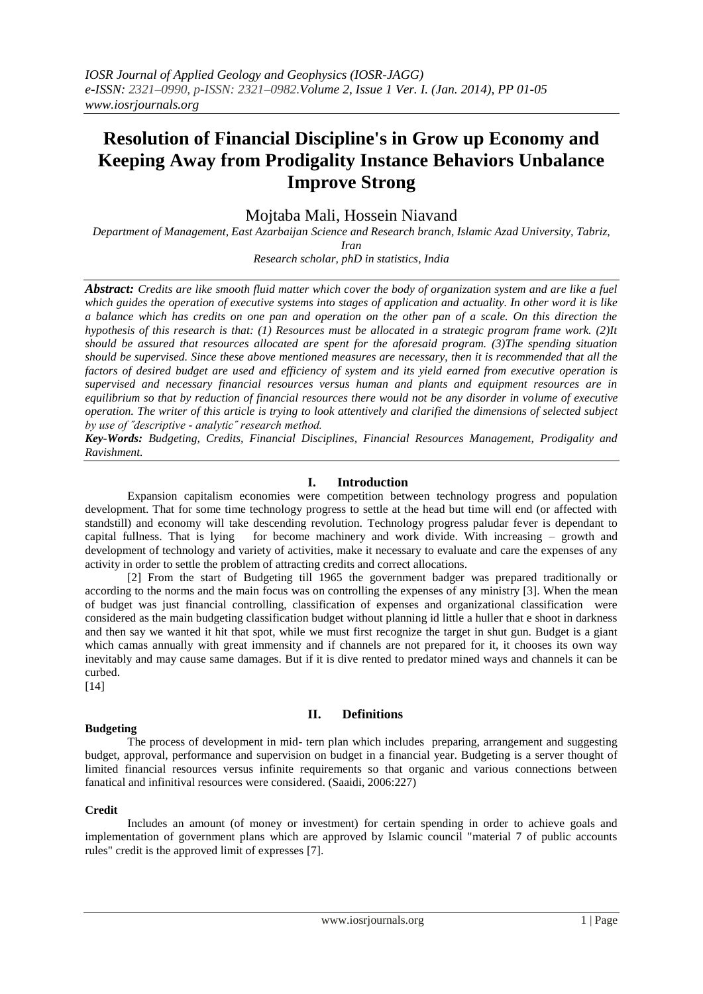# **Resolution of Financial Discipline's in Grow up Economy and Keeping Away from Prodigality Instance Behaviors Unbalance Improve Strong**

Mojtaba Mali, Hossein Niavand

*Department of Management, East Azarbaijan Science and Research branch, Islamic Azad University, Tabriz, Iran*

*Research scholar, phD in statistics, India*

*Abstract: Credits are like smooth fluid matter which cover the body of organization system and are like a fuel which guides the operation of executive systems into stages of application and actuality. In other word it is like a balance which has credits on one pan and operation on the other pan of a scale. On this direction the hypothesis of this research is that: (1) Resources must be allocated in a strategic program frame work. (2)It should be assured that resources allocated are spent for the aforesaid program. (3)The spending situation should be supervised. Since these above mentioned measures are necessary, then it is recommended that all the factors of desired budget are used and efficiency of system and its yield earned from executive operation is supervised and necessary financial resources versus human and plants and equipment resources are in equilibrium so that by reduction of financial resources there would not be any disorder in volume of executive operation. The writer of this article is trying to look attentively and clarified the dimensions of selected subject by use of ˝descriptive - analytic˝ research method.*

*Key-Words: Budgeting, Credits, Financial Disciplines, Financial Resources Management, Prodigality and Ravishment.*

# **I. Introduction**

Expansion capitalism economies were competition between technology progress and population development. That for some time technology progress to settle at the head but time will end (or affected with standstill) and economy will take descending revolution. Technology progress paludar fever is dependant to capital fullness. That is lying for become machinery and work divide. With increasing  $-$  growth and development of technology and variety of activities, make it necessary to evaluate and care the expenses of any activity in order to settle the problem of attracting credits and correct allocations.

[2] From the start of Budgeting till 1965 the government badger was prepared traditionally or according to the norms and the main focus was on controlling the expenses of any ministry [3]. When the mean of budget was just financial controlling, classification of expenses and organizational classification were considered as the main budgeting classification budget without planning id little a huller that e shoot in darkness and then say we wanted it hit that spot, while we must first recognize the target in shut gun. Budget is a giant which camas annually with great immensity and if channels are not prepared for it, it chooses its own way inevitably and may cause same damages. But if it is dive rented to predator mined ways and channels it can be curbed.

[14]

# **Budgeting**

# **II. Definitions**

The process of development in mid- tern plan which includes preparing, arrangement and suggesting budget, approval, performance and supervision on budget in a financial year. Budgeting is a server thought of limited financial resources versus infinite requirements so that organic and various connections between fanatical and infinitival resources were considered. (Saaidi, 2006:227)

# **Credit**

Includes an amount (of money or investment) for certain spending in order to achieve goals and implementation of government plans which are approved by Islamic council "material 7 of public accounts rules" credit is the approved limit of expresses [7].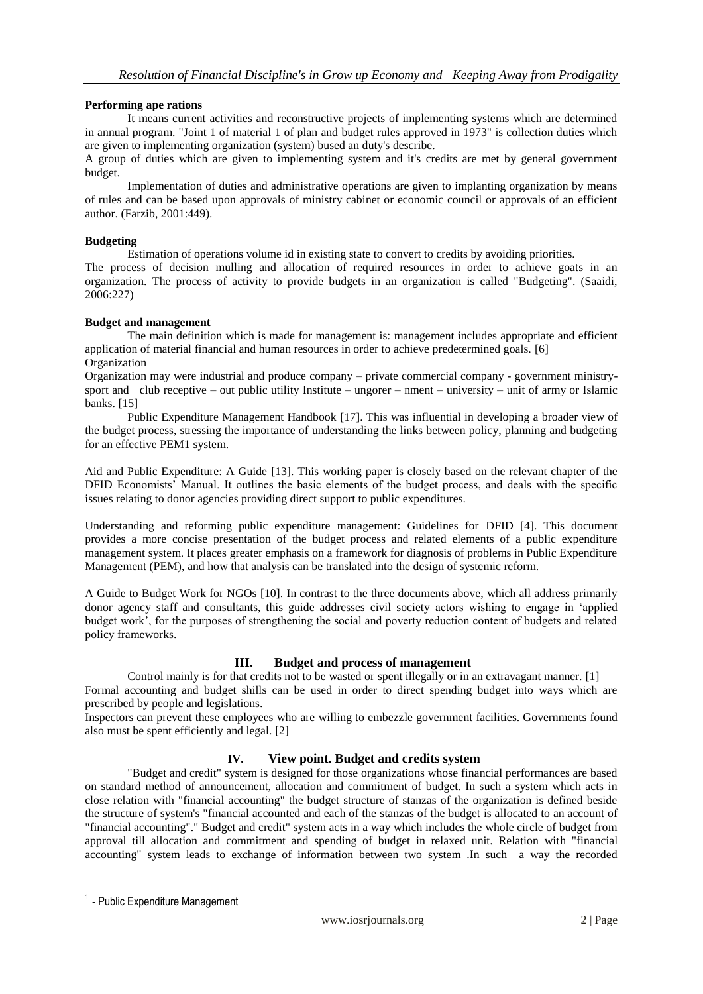#### **Performing ape rations**

It means current activities and reconstructive projects of implementing systems which are determined in annual program. "Joint 1 of material 1 of plan and budget rules approved in 1973" is collection duties which are given to implementing organization (system) bused an duty's describe.

A group of duties which are given to implementing system and it's credits are met by general government budget.

Implementation of duties and administrative operations are given to implanting organization by means of rules and can be based upon approvals of ministry cabinet or economic council or approvals of an efficient author. (Farzib, 2001:449).

#### **Budgeting**

Estimation of operations volume id in existing state to convert to credits by avoiding priorities.

The process of decision mulling and allocation of required resources in order to achieve goats in an organization. The process of activity to provide budgets in an organization is called "Budgeting". (Saaidi, 2006:227)

#### **Budget and management**

The main definition which is made for management is: management includes appropriate and efficient application of material financial and human resources in order to achieve predetermined goals. [6] Organization

Organization may were industrial and produce company – private commercial company - government ministrysport and club receptive – out public utility Institute – ungorer – nment – university – unit of army or Islamic banks. [15]

Public Expenditure Management Handbook [17]. This was influential in developing a broader view of the budget process, stressing the importance of understanding the links between policy, planning and budgeting for an effective PEM1 system.

Aid and Public Expenditure: A Guide [13]. This working paper is closely based on the relevant chapter of the DFID Economists' Manual. It outlines the basic elements of the budget process, and deals with the specific issues relating to donor agencies providing direct support to public expenditures.

Understanding and reforming public expenditure management: Guidelines for DFID [4]. This document provides a more concise presentation of the budget process and related elements of a public expenditure management system. It places greater emphasis on a framework for diagnosis of problems in Public Expenditure Management (PEM), and how that analysis can be translated into the design of systemic reform.

A Guide to Budget Work for NGOs [10]. In contrast to the three documents above, which all address primarily donor agency staff and consultants, this guide addresses civil society actors wishing to engage in 'applied budget work', for the purposes of strengthening the social and poverty reduction content of budgets and related policy frameworks.

# **III. Budget and process of management**

Control mainly is for that credits not to be wasted or spent illegally or in an extravagant manner. [1] Formal accounting and budget shills can be used in order to direct spending budget into ways which are prescribed by people and legislations.

Inspectors can prevent these employees who are willing to embezzle government facilities. Governments found also must be spent efficiently and legal. [2]

# **IV. View point. Budget and credits system**

"Budget and credit" system is designed for those organizations whose financial performances are based on standard method of announcement, allocation and commitment of budget. In such a system which acts in close relation with "financial accounting" the budget structure of stanzas of the organization is defined beside the structure of system's "financial accounted and each of the stanzas of the budget is allocated to an account of "financial accounting"." Budget and credit" system acts in a way which includes the whole circle of budget from approval till allocation and commitment and spending of budget in relaxed unit. Relation with "financial accounting" system leads to exchange of information between two system .In such a way the recorded

-

<sup>1</sup> - Public Expenditure Management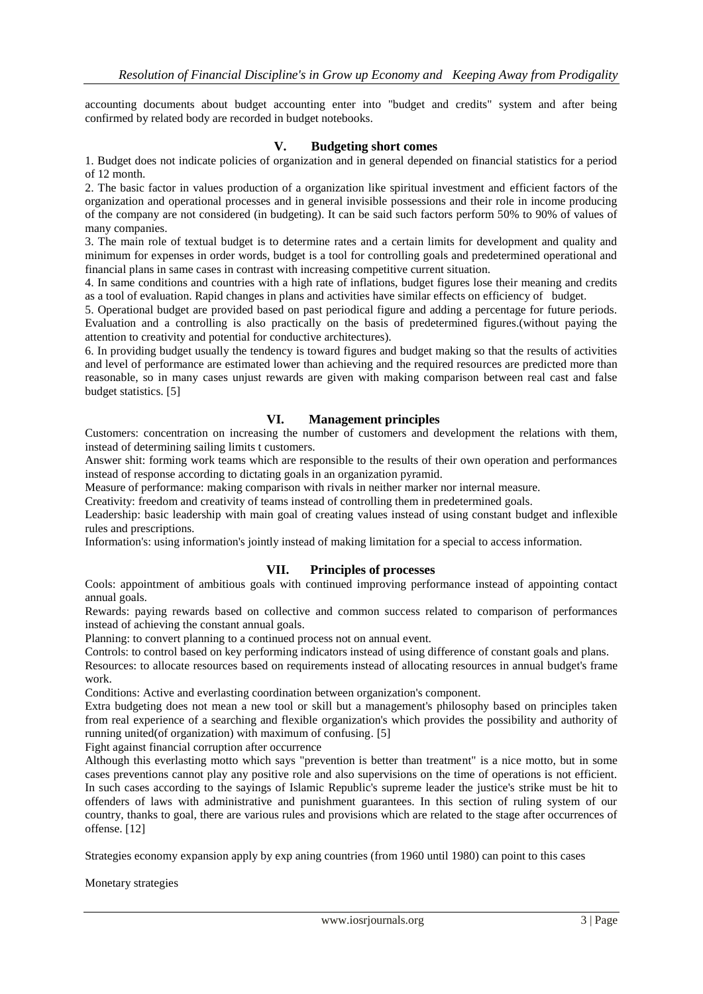accounting documents about budget accounting enter into "budget and credits" system and after being confirmed by related body are recorded in budget notebooks.

#### **V. Budgeting short comes**

1. Budget does not indicate policies of organization and in general depended on financial statistics for a period of 12 month.

2. The basic factor in values production of a organization like spiritual investment and efficient factors of the organization and operational processes and in general invisible possessions and their role in income producing of the company are not considered (in budgeting). It can be said such factors perform 50% to 90% of values of many companies.

3. The main role of textual budget is to determine rates and a certain limits for development and quality and minimum for expenses in order words, budget is a tool for controlling goals and predetermined operational and financial plans in same cases in contrast with increasing competitive current situation.

4. In same conditions and countries with a high rate of inflations, budget figures lose their meaning and credits as a tool of evaluation. Rapid changes in plans and activities have similar effects on efficiency of budget.

5. Operational budget are provided based on past periodical figure and adding a percentage for future periods. Evaluation and a controlling is also practically on the basis of predetermined figures.(without paying the attention to creativity and potential for conductive architectures).

6. In providing budget usually the tendency is toward figures and budget making so that the results of activities and level of performance are estimated lower than achieving and the required resources are predicted more than reasonable, so in many cases unjust rewards are given with making comparison between real cast and false budget statistics. [5]

# **VI. Management principles**

Customers: concentration on increasing the number of customers and development the relations with them, instead of determining sailing limits t customers.

Answer shit: forming work teams which are responsible to the results of their own operation and performances instead of response according to dictating goals in an organization pyramid.

Measure of performance: making comparison with rivals in neither marker nor internal measure.

Creativity: freedom and creativity of teams instead of controlling them in predetermined goals.

Leadership: basic leadership with main goal of creating values instead of using constant budget and inflexible rules and prescriptions.

Information's: using information's jointly instead of making limitation for a special to access information.

# **VII. Principles of processes**

Cools: appointment of ambitious goals with continued improving performance instead of appointing contact annual goals.

Rewards: paying rewards based on collective and common success related to comparison of performances instead of achieving the constant annual goals.

Planning: to convert planning to a continued process not on annual event.

Controls: to control based on key performing indicators instead of using difference of constant goals and plans.

Resources: to allocate resources based on requirements instead of allocating resources in annual budget's frame work.

Conditions: Active and everlasting coordination between organization's component.

Extra budgeting does not mean a new tool or skill but a management's philosophy based on principles taken from real experience of a searching and flexible organization's which provides the possibility and authority of running united(of organization) with maximum of confusing. [5]

Fight against financial corruption after occurrence

Although this everlasting motto which says "prevention is better than treatment" is a nice motto, but in some cases preventions cannot play any positive role and also supervisions on the time of operations is not efficient. In such cases according to the sayings of Islamic Republic's supreme leader the justice's strike must be hit to offenders of laws with administrative and punishment guarantees. In this section of ruling system of our country, thanks to goal, there are various rules and provisions which are related to the stage after occurrences of offense. [12]

Strategies economy expansion apply by exp aning countries (from 1960 until 1980) can point to this cases

Monetary strategies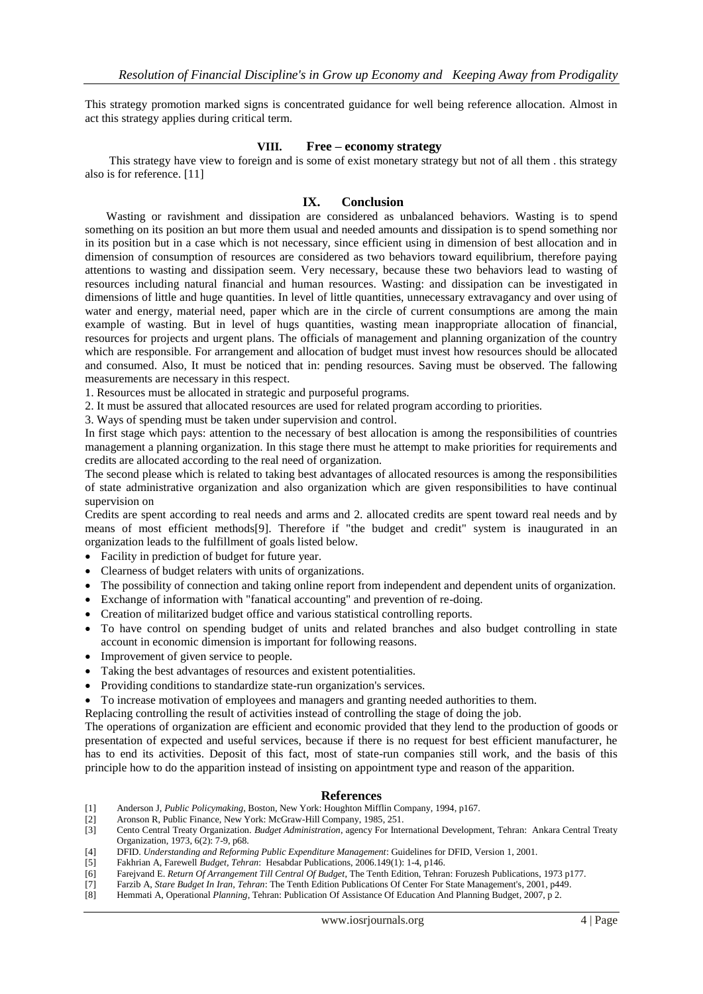This strategy promotion marked signs is concentrated guidance for well being reference allocation. Almost in act this strategy applies during critical term.

#### **VIII. Free – economy strategy**

This strategy have view to foreign and is some of exist monetary strategy but not of all them . this strategy also is for reference. [11]

#### **IX. Conclusion**

Wasting or ravishment and dissipation are considered as unbalanced behaviors. Wasting is to spend something on its position an but more them usual and needed amounts and dissipation is to spend something nor in its position but in a case which is not necessary, since efficient using in dimension of best allocation and in dimension of consumption of resources are considered as two behaviors toward equilibrium, therefore paying attentions to wasting and dissipation seem. Very necessary, because these two behaviors lead to wasting of resources including natural financial and human resources. Wasting: and dissipation can be investigated in dimensions of little and huge quantities. In level of little quantities, unnecessary extravagancy and over using of water and energy, material need, paper which are in the circle of current consumptions are among the main example of wasting. But in level of hugs quantities, wasting mean inappropriate allocation of financial, resources for projects and urgent plans. The officials of management and planning organization of the country which are responsible. For arrangement and allocation of budget must invest how resources should be allocated and consumed. Also, It must be noticed that in: pending resources. Saving must be observed. The fallowing measurements are necessary in this respect.

1. Resources must be allocated in strategic and purposeful programs.

2. It must be assured that allocated resources are used for related program according to priorities.

3. Ways of spending must be taken under supervision and control.

In first stage which pays: attention to the necessary of best allocation is among the responsibilities of countries management a planning organization. In this stage there must he attempt to make priorities for requirements and credits are allocated according to the real need of organization.

The second please which is related to taking best advantages of allocated resources is among the responsibilities of state administrative organization and also organization which are given responsibilities to have continual supervision on

Credits are spent according to real needs and arms and 2. allocated credits are spent toward real needs and by means of most efficient methods[9]. Therefore if "the budget and credit" system is inaugurated in an organization leads to the fulfillment of goals listed below.

- Facility in prediction of budget for future year.
- Clearness of budget relaters with units of organizations.
- The possibility of connection and taking online report from independent and dependent units of organization.
- Exchange of information with "fanatical accounting" and prevention of re-doing.
- Creation of militarized budget office and various statistical controlling reports.
- To have control on spending budget of units and related branches and also budget controlling in state account in economic dimension is important for following reasons.
- Improvement of given service to people.
- Taking the best advantages of resources and existent potentialities.
- Providing conditions to standardize state-run organization's services.
- To increase motivation of employees and managers and granting needed authorities to them.

Replacing controlling the result of activities instead of controlling the stage of doing the job.

The operations of organization are efficient and economic provided that they lend to the production of goods or presentation of expected and useful services, because if there is no request for best efficient manufacturer, he has to end its activities. Deposit of this fact, most of state-run companies still work, and the basis of this principle how to do the apparition instead of insisting on appointment type and reason of the apparition.

#### **References**

- [1] Anderson J, *Public Policymaking*, Boston, New York: Houghton Mifflin Company, 1994, p167.
- Aronson R, Public Finance, New York: McGraw-Hill Company, 1985, 251.
- [3] Cento Central Treaty Organization. *Budget Administration*, agency For International Development, Tehran: Ankara Central Treaty Organization, 1973, 6(2): 7-9, p68.
- [4] DFID. *Understanding and Reforming Public Expenditure Management*: Guidelines for DFID, Version 1, 2001.
- [5] Fakhrian A, Farewell *Budget, Tehran*: Hesabdar Publications, 2006.149(1): 1-4, p146.
- [6] Farejvand E. *Return Of Arrangement Till Central Of Budget*, The Tenth Edition, Tehran: Foruzesh Publications, 1973 p177.
- [7] Farzib A, *Stare Budget In Iran, Tehran*: The Tenth Edition Publications Of Center For State Management's, 2001, p449.
- [8] Hemmati A, Operational *Planning*, Tehran: Publication Of Assistance Of Education And Planning Budget, 2007, p 2.